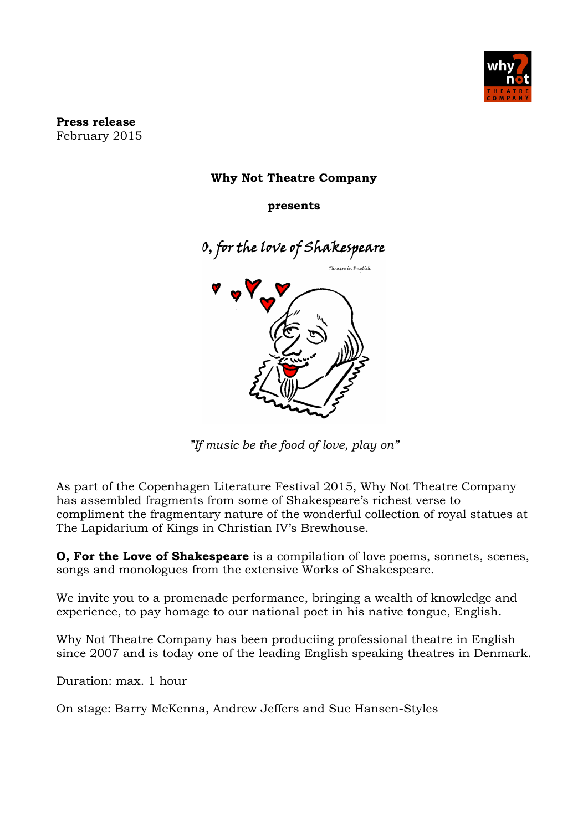

**Press release** February 2015

## **Why Not Theatre Company**

**presents**



*"If music be the food of love, play on"*

As part of the Copenhagen Literature Festival 2015, Why Not Theatre Company has assembled fragments from some of Shakespeare's richest verse to compliment the fragmentary nature of the wonderful collection of royal statues at The Lapidarium of Kings in Christian IV's Brewhouse.

**O, For the Love of Shakespeare** is a compilation of love poems, sonnets, scenes, songs and monologues from the extensive Works of Shakespeare.

We invite you to a promenade performance, bringing a wealth of knowledge and experience, to pay homage to our national poet in his native tongue, English.

Why Not Theatre Company has been produciing professional theatre in English since 2007 and is today one of the leading English speaking theatres in Denmark.

Duration: max. 1 hour

On stage: Barry McKenna, Andrew Jeffers and Sue Hansen-Styles